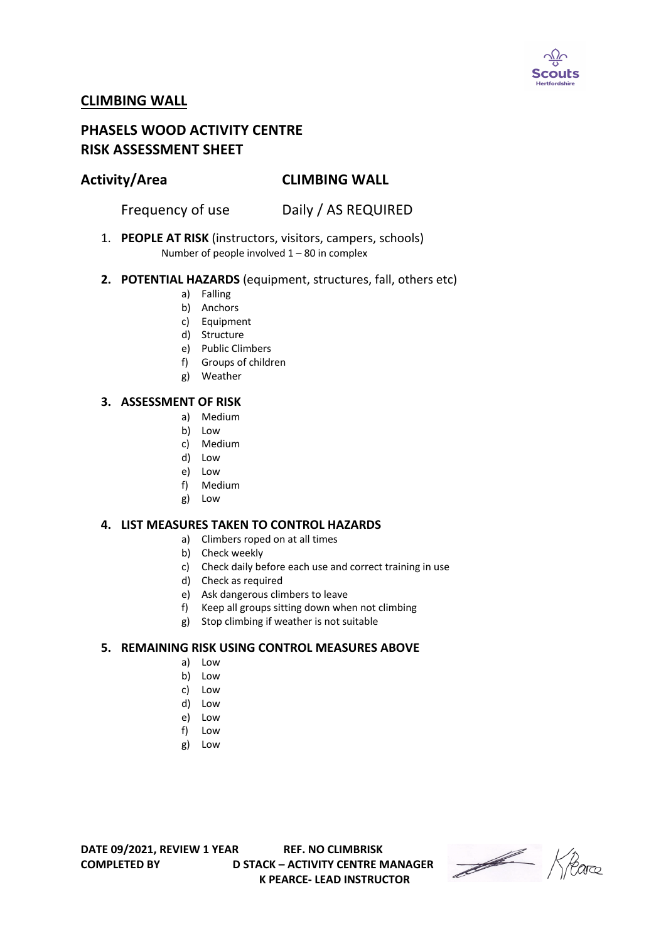

# **CLIMBING WALL**

# **PHASELS WOOD ACTIVITY CENTRE RISK ASSESSMENT SHEET**

## **Activity/Area CLIMBING WALL**

Frequency of use Daily / AS REQUIRED

1. **PEOPLE AT RISK** (instructors, visitors, campers, schools) Number of people involved 1 – 80 in complex

#### **2. POTENTIAL HAZARDS** (equipment, structures, fall, others etc)

- a) Falling
- b) Anchors
- c) Equipment
- d) Structure
- e) Public Climbers
- f) Groups of children
- g) Weather

#### **3. ASSESSMENT OF RISK**

- a) Medium
- b) Low
- c) Medium
- d) Low
- e) Low
- f) Medium
- g) Low

### **4. LIST MEASURES TAKEN TO CONTROL HAZARDS**

- a) Climbers roped on at all times
- b) Check weekly
- c) Check daily before each use and correct training in use
- d) Check as required
- e) Ask dangerous climbers to leave
- f) Keep all groups sitting down when not climbing
- g) Stop climbing if weather is not suitable

### **5. REMAINING RISK USING CONTROL MEASURES ABOVE**

- a) Low
- b) Low
- c) Low
- d) Low
- e) Low
- f) Low
- g) Low

**DATE 09/2021, REVIEW 1 YEAR REF. NO CLIMBRISK COMPLETED BY D STACK – ACTIVITY CENTRE MANAGER K PEARCE- LEAD INSTRUCTOR** 

Heare